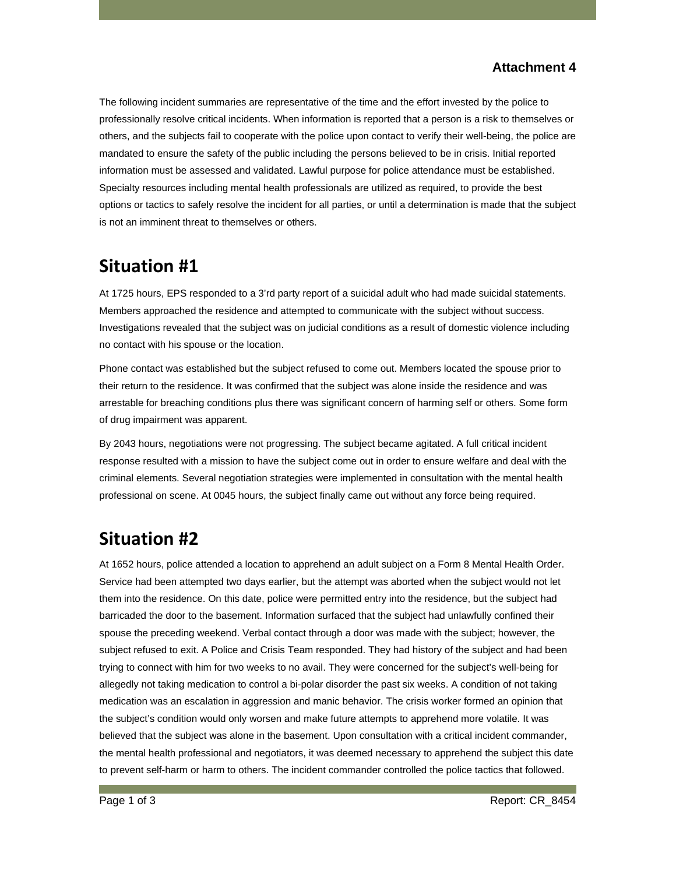#### **Attachment 4**

The following incident summaries are representative of the time and the effort invested by the police to professionally resolve critical incidents. When information is reported that a person is a risk to themselves or others, and the subjects fail to cooperate with the police upon contact to verify their well-being, the police are mandated to ensure the safety of the public including the persons believed to be in crisis. Initial reported information must be assessed and validated. Lawful purpose for police attendance must be established. Specialty resources including mental health professionals are utilized as required, to provide the best options or tactics to safely resolve the incident for all parties, or until a determination is made that the subject is not an imminent threat to themselves or others.

### **Situation #1**

At 1725 hours, EPS responded to a 3'rd party report of a suicidal adult who had made suicidal statements. Members approached the residence and attempted to communicate with the subject without success. Investigations revealed that the subject was on judicial conditions as a result of domestic violence including no contact with his spouse or the location.

Phone contact was established but the subject refused to come out. Members located the spouse prior to their return to the residence. It was confirmed that the subject was alone inside the residence and was arrestable for breaching conditions plus there was significant concern of harming self or others. Some form of drug impairment was apparent.

By 2043 hours, negotiations were not progressing. The subject became agitated. A full critical incident response resulted with a mission to have the subject come out in order to ensure welfare and deal with the criminal elements. Several negotiation strategies were implemented in consultation with the mental health professional on scene. At 0045 hours, the subject finally came out without any force being required.

# **Situation #2**

At 1652 hours, police attended a location to apprehend an adult subject on a Form 8 Mental Health Order. Service had been attempted two days earlier, but the attempt was aborted when the subject would not let them into the residence. On this date, police were permitted entry into the residence, but the subject had barricaded the door to the basement. Information surfaced that the subject had unlawfully confined their spouse the preceding weekend. Verbal contact through a door was made with the subject; however, the subject refused to exit. A Police and Crisis Team responded. They had history of the subject and had been trying to connect with him for two weeks to no avail. They were concerned for the subject's well-being for allegedly not taking medication to control a bi-polar disorder the past six weeks. A condition of not taking medication was an escalation in aggression and manic behavior. The crisis worker formed an opinion that the subject's condition would only worsen and make future attempts to apprehend more volatile. It was believed that the subject was alone in the basement. Upon consultation with a critical incident commander, the mental health professional and negotiators, it was deemed necessary to apprehend the subject this date to prevent self-harm or harm to others. The incident commander controlled the police tactics that followed.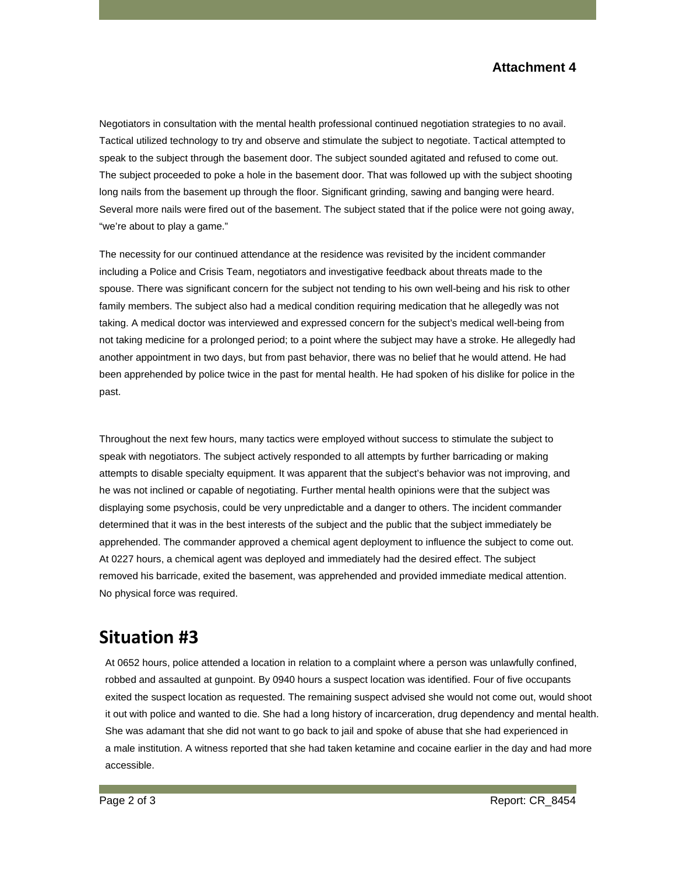Negotiators in consultation with the mental health professional continued negotiation strategies to no avail. Tactical utilized technology to try and observe and stimulate the subject to negotiate. Tactical attempted to speak to the subject through the basement door. The subject sounded agitated and refused to come out. The subject proceeded to poke a hole in the basement door. That was followed up with the subject shooting long nails from the basement up through the floor. Significant grinding, sawing and banging were heard. Several more nails were fired out of the basement. The subject stated that if the police were not going away, "we're about to play a game."

The necessity for our continued attendance at the residence was revisited by the incident commander including a Police and Crisis Team, negotiators and investigative feedback about threats made to the spouse. There was significant concern for the subject not tending to his own well-being and his risk to other family members. The subject also had a medical condition requiring medication that he allegedly was not taking. A medical doctor was interviewed and expressed concern for the subject's medical well-being from not taking medicine for a prolonged period; to a point where the subject may have a stroke. He allegedly had another appointment in two days, but from past behavior, there was no belief that he would attend. He had been apprehended by police twice in the past for mental health. He had spoken of his dislike for police in the past.

Throughout the next few hours, many tactics were employed without success to stimulate the subject to speak with negotiators. The subject actively responded to all attempts by further barricading or making attempts to disable specialty equipment. It was apparent that the subject's behavior was not improving, and he was not inclined or capable of negotiating. Further mental health opinions were that the subject was displaying some psychosis, could be very unpredictable and a danger to others. The incident commander determined that it was in the best interests of the subject and the public that the subject immediately be apprehended. The commander approved a chemical agent deployment to influence the subject to come out. At 0227 hours, a chemical agent was deployed and immediately had the desired effect. The subject removed his barricade, exited the basement, was apprehended and provided immediate medical attention. No physical force was required.

## **Situation #3**

At 0652 hours, police attended a location in relation to a complaint where a person was unlawfully confined, robbed and assaulted at gunpoint. By 0940 hours a suspect location was identified. Four of five occupants exited the suspect location as requested. The remaining suspect advised she would not come out, would shoot it out with police and wanted to die. She had a long history of incarceration, drug dependency and mental health. She was adamant that she did not want to go back to jail and spoke of abuse that she had experienced in a male institution. A witness reported that she had taken ketamine and cocaine earlier in the day and had more accessible.